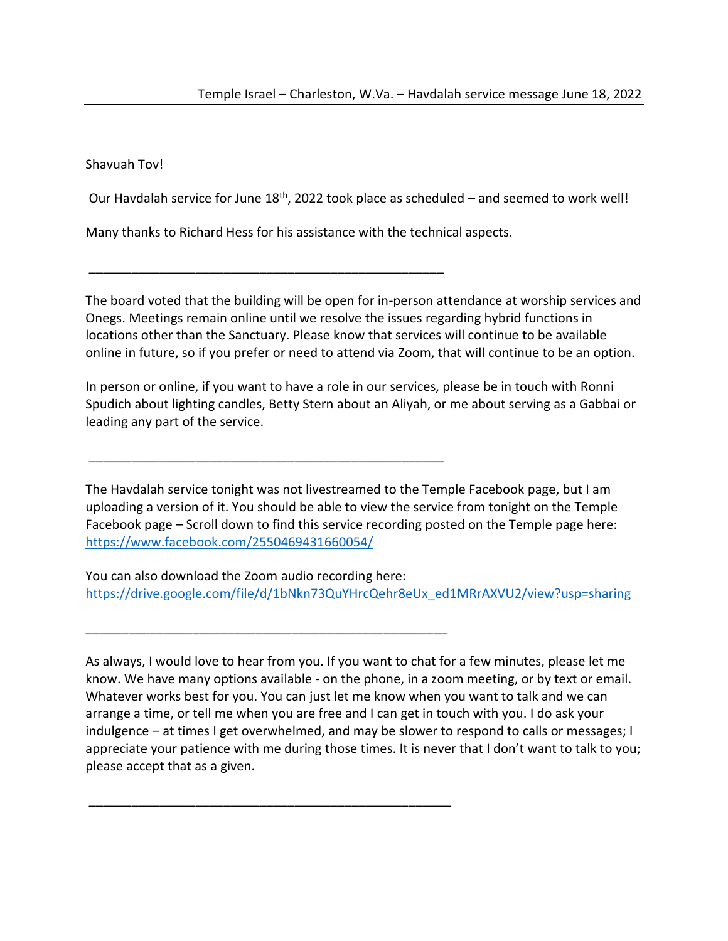Shavuah Tov!

Our Havdalah service for June 18<sup>th</sup>, 2022 took place as scheduled – and seemed to work well!

Many thanks to Richard Hess for his assistance with the technical aspects.

\_\_\_\_\_\_\_\_\_\_\_\_\_\_\_\_\_\_\_\_\_\_\_\_\_\_\_\_\_\_\_\_\_\_\_\_\_\_\_\_\_\_\_\_\_\_\_\_\_\_

\_\_\_\_\_\_\_\_\_\_\_\_\_\_\_\_\_\_\_\_\_\_\_\_\_\_\_\_\_\_\_\_\_\_\_\_\_\_\_\_\_\_\_\_\_\_\_\_\_\_

\_\_\_\_\_\_\_\_\_\_\_\_\_\_\_\_\_\_\_\_\_\_\_\_\_\_\_\_\_\_\_\_\_\_\_\_\_\_\_\_\_\_\_\_\_\_\_\_\_\_\_

\_\_\_\_\_\_\_\_\_\_\_\_\_\_\_\_\_\_\_\_\_\_\_\_\_\_\_\_\_\_\_\_\_\_\_\_\_\_\_\_\_\_\_\_\_\_\_\_\_\_\_

The board voted that the building will be open for in-person attendance at worship services and Onegs. Meetings remain online until we resolve the issues regarding hybrid functions in locations other than the Sanctuary. Please know that services will continue to be available online in future, so if you prefer or need to attend via Zoom, that will continue to be an option.

In person or online, if you want to have a role in our services, please be in touch with Ronni Spudich about lighting candles, Betty Stern about an Aliyah, or me about serving as a Gabbai or leading any part of the service.

The Havdalah service tonight was not livestreamed to the Temple Facebook page, but I am uploading a version of it. You should be able to view the service from tonight on the Temple Facebook page – Scroll down to find this service recording posted on the Temple page here: <https://www.facebook.com/2550469431660054/>

You can also download the Zoom audio recording here: [https://drive.google.com/file/d/1bNkn73QuYHrcQehr8eUx\\_ed1MRrAXVU2/view?usp=sharing](https://drive.google.com/file/d/1bNkn73QuYHrcQehr8eUx_ed1MRrAXVU2/view?usp=sharing)

As always, I would love to hear from you. If you want to chat for a few minutes, please let me know. We have many options available - on the phone, in a zoom meeting, or by text or email. Whatever works best for you. You can just let me know when you want to talk and we can arrange a time, or tell me when you are free and I can get in touch with you. I do ask your indulgence – at times I get overwhelmed, and may be slower to respond to calls or messages; I appreciate your patience with me during those times. It is never that I don't want to talk to you; please accept that as a given.